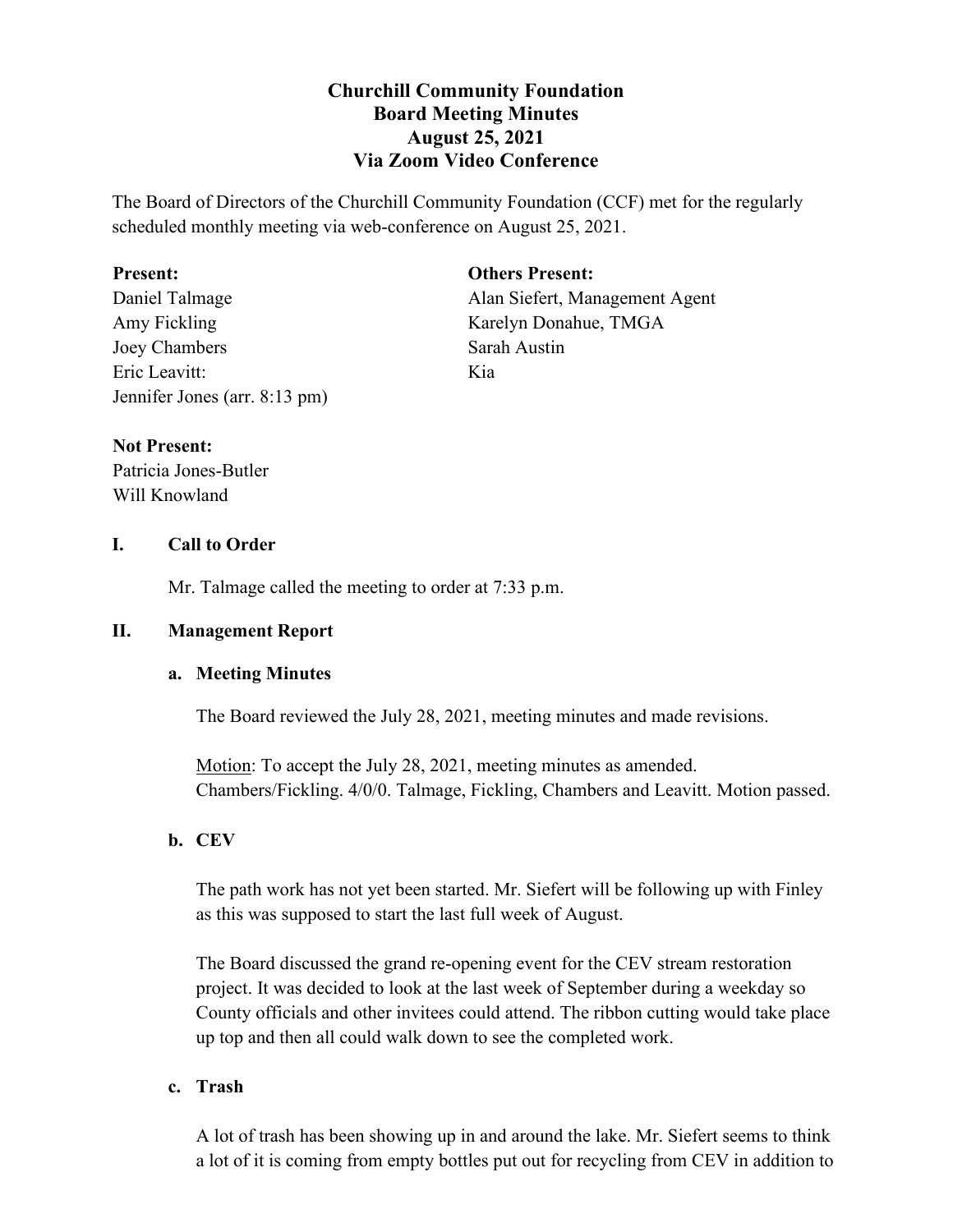# **Churchill Community Foundation Board Meeting Minutes August 25, 2021 Via Zoom Video Conference**

The Board of Directors of the Churchill Community Foundation (CCF) met for the regularly scheduled monthly meeting via web-conference on August 25, 2021.

### **Present:**

Daniel Talmage Amy Fickling Joey Chambers Eric Leavitt: Jennifer Jones (arr. 8:13 pm) **Others Present:**

Alan Siefert, Management Agent Karelyn Donahue, TMGA Sarah Austin Kia

## **Not Present:**

Patricia Jones-Butler Will Knowland

## **I. Call to Order**

Mr. Talmage called the meeting to order at 7:33 p.m.

## **II. Management Report**

## **a. Meeting Minutes**

The Board reviewed the July 28, 2021, meeting minutes and made revisions.

Motion: To accept the July 28, 2021, meeting minutes as amended. Chambers/Fickling. 4/0/0. Talmage, Fickling, Chambers and Leavitt. Motion passed.

## **b. CEV**

The path work has not yet been started. Mr. Siefert will be following up with Finley as this was supposed to start the last full week of August.

The Board discussed the grand re-opening event for the CEV stream restoration project. It was decided to look at the last week of September during a weekday so County officials and other invitees could attend. The ribbon cutting would take place up top and then all could walk down to see the completed work.

## **c. Trash**

A lot of trash has been showing up in and around the lake. Mr. Siefert seems to think a lot of it is coming from empty bottles put out for recycling from CEV in addition to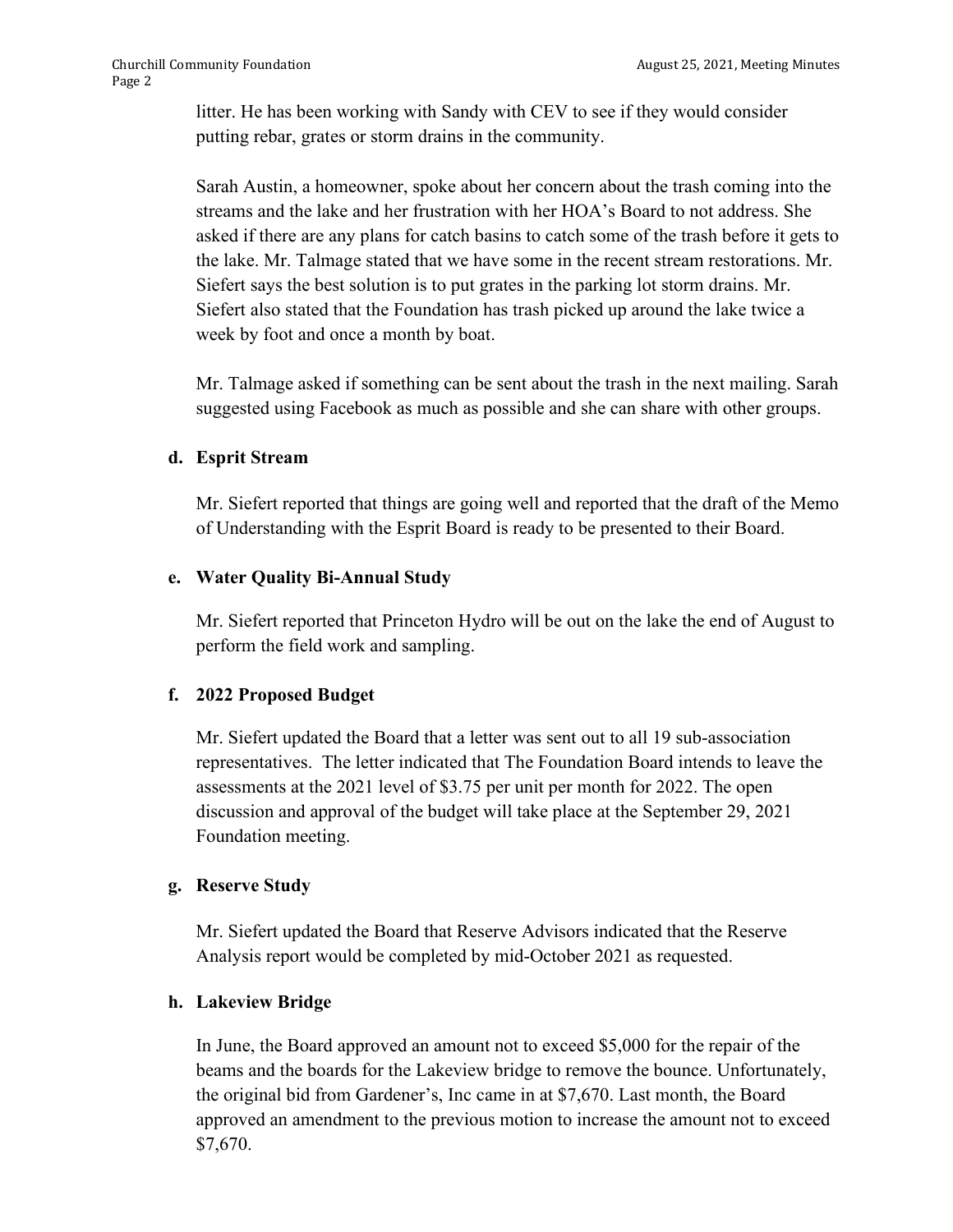litter. He has been working with Sandy with CEV to see if they would consider putting rebar, grates or storm drains in the community.

Sarah Austin, a homeowner, spoke about her concern about the trash coming into the streams and the lake and her frustration with her HOA's Board to not address. She asked if there are any plans for catch basins to catch some of the trash before it gets to the lake. Mr. Talmage stated that we have some in the recent stream restorations. Mr. Siefert says the best solution is to put grates in the parking lot storm drains. Mr. Siefert also stated that the Foundation has trash picked up around the lake twice a week by foot and once a month by boat.

Mr. Talmage asked if something can be sent about the trash in the next mailing. Sarah suggested using Facebook as much as possible and she can share with other groups.

### **d. Esprit Stream**

Mr. Siefert reported that things are going well and reported that the draft of the Memo of Understanding with the Esprit Board is ready to be presented to their Board.

### **e. Water Quality Bi-Annual Study**

Mr. Siefert reported that Princeton Hydro will be out on the lake the end of August to perform the field work and sampling.

## **f. 2022 Proposed Budget**

Mr. Siefert updated the Board that a letter was sent out to all 19 sub-association representatives. The letter indicated that The Foundation Board intends to leave the assessments at the 2021 level of \$3.75 per unit per month for 2022. The open discussion and approval of the budget will take place at the September 29, 2021 Foundation meeting.

#### **g. Reserve Study**

Mr. Siefert updated the Board that Reserve Advisors indicated that the Reserve Analysis report would be completed by mid-October 2021 as requested.

## **h. Lakeview Bridge**

In June, the Board approved an amount not to exceed \$5,000 for the repair of the beams and the boards for the Lakeview bridge to remove the bounce. Unfortunately, the original bid from Gardener's, Inc came in at \$7,670. Last month, the Board approved an amendment to the previous motion to increase the amount not to exceed \$7,670.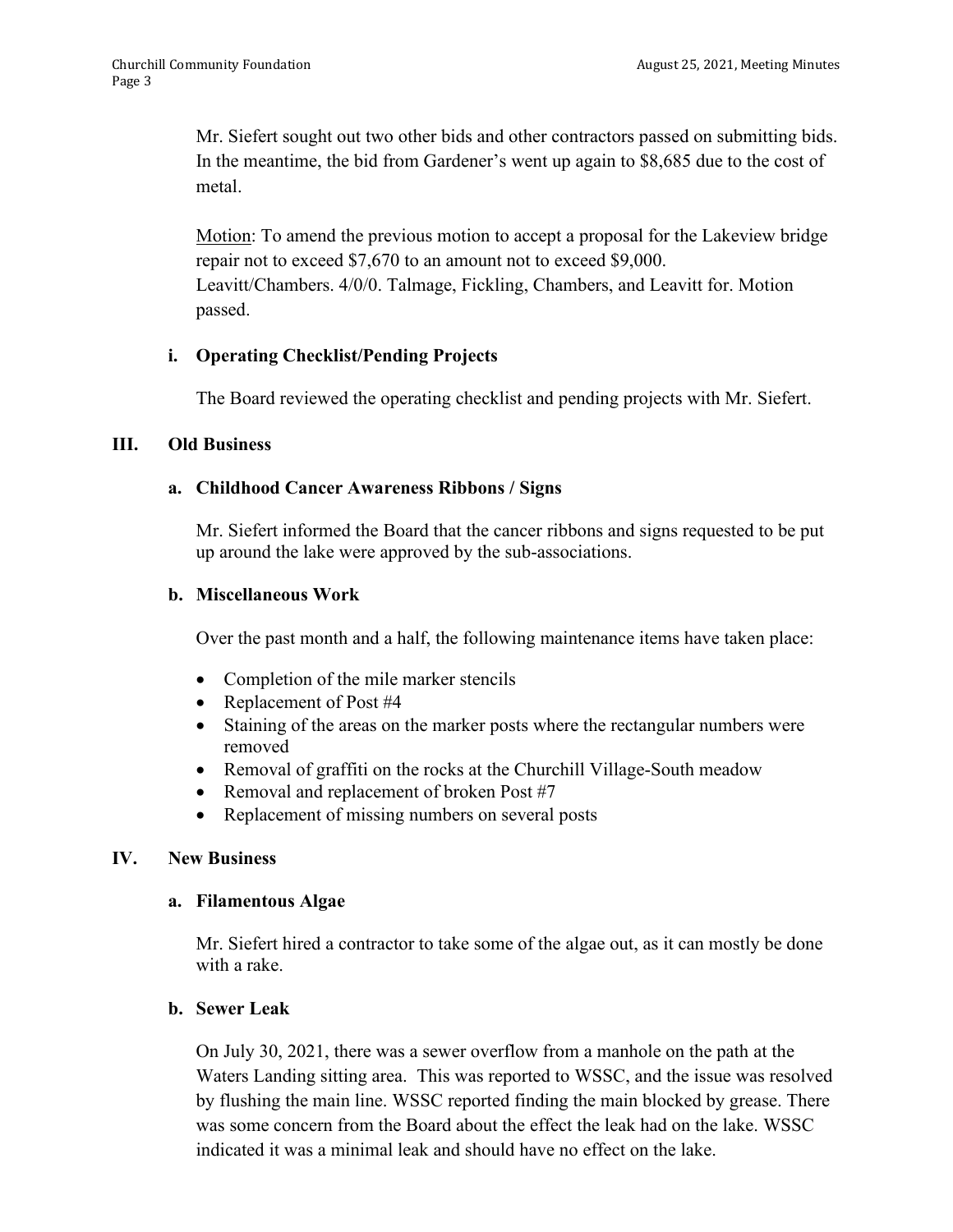Mr. Siefert sought out two other bids and other contractors passed on submitting bids. In the meantime, the bid from Gardener's went up again to \$8,685 due to the cost of metal.

Motion: To amend the previous motion to accept a proposal for the Lakeview bridge repair not to exceed \$7,670 to an amount not to exceed \$9,000. Leavitt/Chambers. 4/0/0. Talmage, Fickling, Chambers, and Leavitt for. Motion passed.

### **i. Operating Checklist/Pending Projects**

The Board reviewed the operating checklist and pending projects with Mr. Siefert.

#### **III. Old Business**

#### **a. Childhood Cancer Awareness Ribbons / Signs**

Mr. Siefert informed the Board that the cancer ribbons and signs requested to be put up around the lake were approved by the sub-associations.

#### **b. Miscellaneous Work**

Over the past month and a half, the following maintenance items have taken place:

- Completion of the mile marker stencils
- Replacement of Post #4
- Staining of the areas on the marker posts where the rectangular numbers were removed
- Removal of graffiti on the rocks at the Churchill Village-South meadow
- Removal and replacement of broken Post #7
- Replacement of missing numbers on several posts

#### **IV. New Business**

#### **a. Filamentous Algae**

Mr. Siefert hired a contractor to take some of the algae out, as it can mostly be done with a rake.

#### **b. Sewer Leak**

On July 30, 2021, there was a sewer overflow from a manhole on the path at the Waters Landing sitting area. This was reported to WSSC, and the issue was resolved by flushing the main line. WSSC reported finding the main blocked by grease. There was some concern from the Board about the effect the leak had on the lake. WSSC indicated it was a minimal leak and should have no effect on the lake.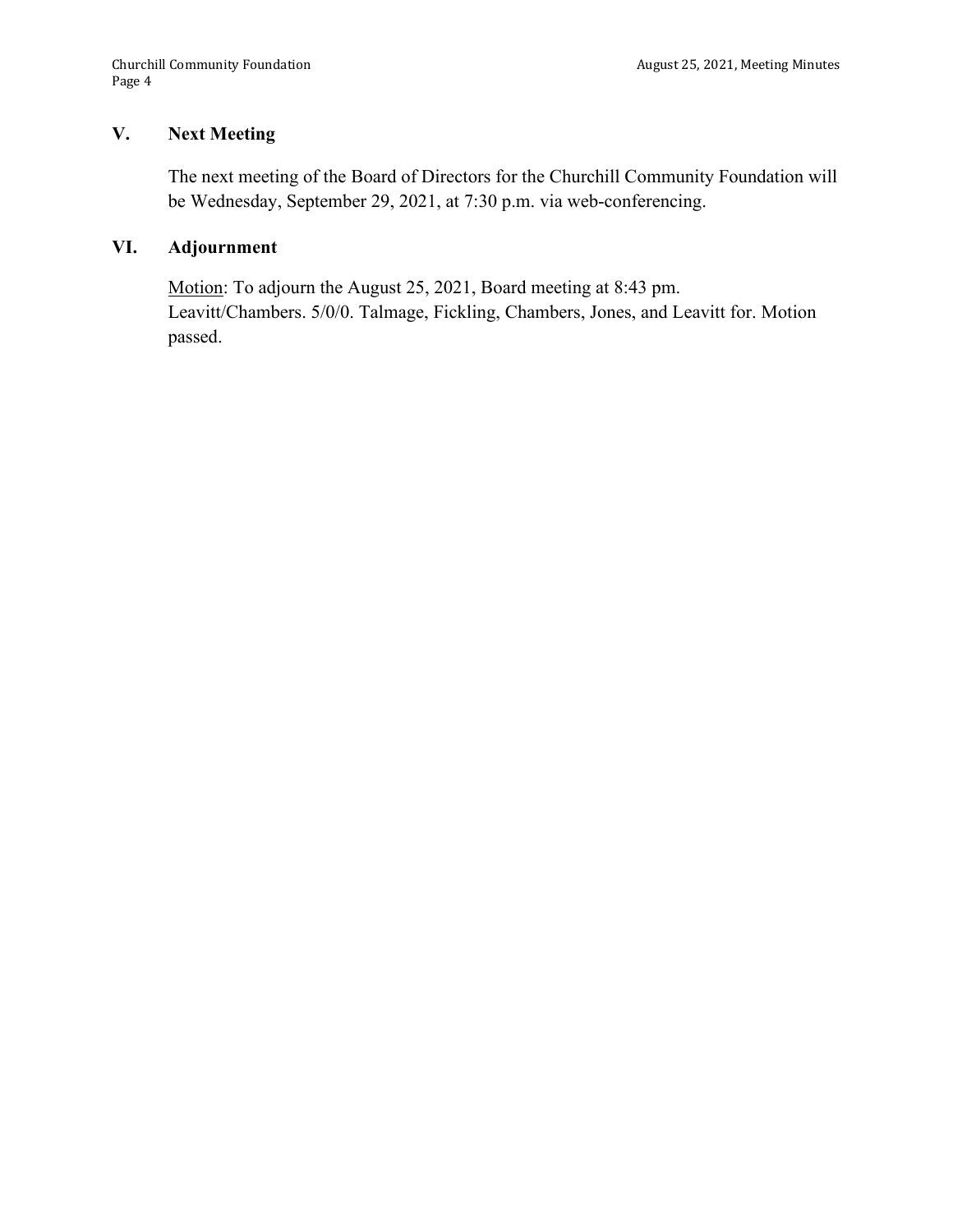### **V. Next Meeting**

The next meeting of the Board of Directors for the Churchill Community Foundation will be Wednesday, September 29, 2021, at 7:30 p.m. via web-conferencing.

# **VI. Adjournment**

Motion: To adjourn the August 25, 2021, Board meeting at 8:43 pm. Leavitt/Chambers. 5/0/0. Talmage, Fickling, Chambers, Jones, and Leavitt for. Motion passed.